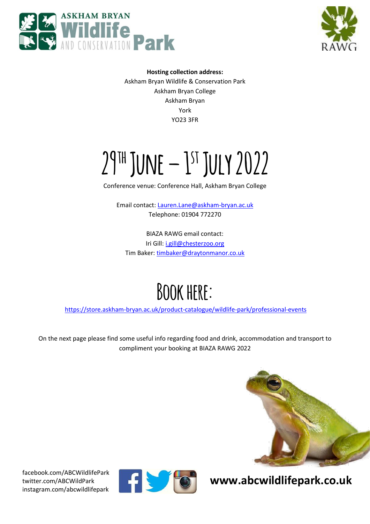



**Hosting collection address:**  Askham Bryan Wildlife & Conservation Park Askham Bryan College Askham Bryan York YO23 3FR

# **29th June – 1 st July 2022**

Conference venue: Conference Hall, Askham Bryan College

Email contact[: Lauren.Lane@askham-bryan.ac.uk](mailto:Lauren.Lane@askham-bryan.ac.uk) Telephone: 01904 772270

BIAZA RAWG email contact: Iri Gill: [i.gill@chesterzoo.org](mailto:i.gill@chesterzoo.org) Tim Baker: [timbaker@draytonmanor.co.uk](mailto:timbaker@draytonmanor.co.uk)

### **Bookhere:**

<https://store.askham-bryan.ac.uk/product-catalogue/wildlife-park/professional-events>

On the next page please find some useful info regarding food and drink, accommodation and transport to compliment your booking at BIAZA RAWG 2022



**EXECUTE: WWW.abcwildlifepark.co.uk** 



[facebook.com/ABCWildlifePark](https://www.facebook.com/ABCWildlifePark) twitter.com/ABCWildPark instagram.com/abcwildlifepark